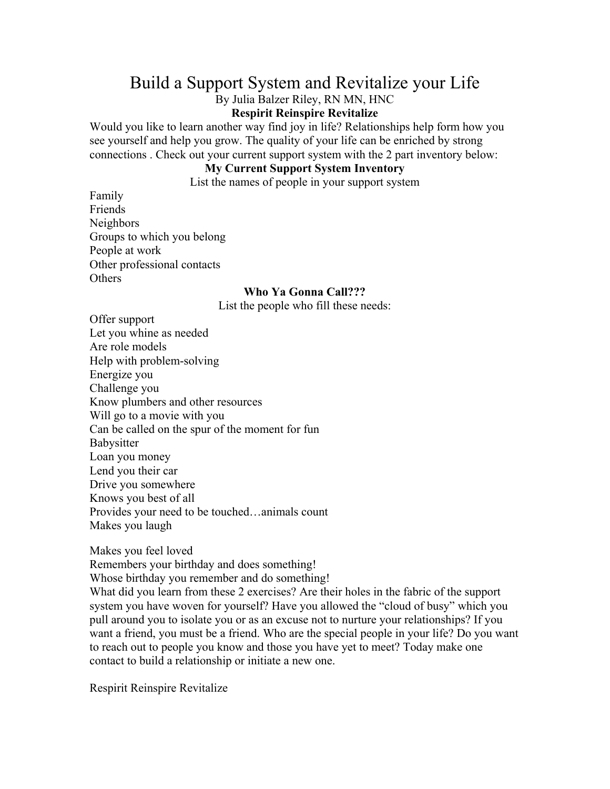## Build a Support System and Revitalize your Life

By Julia Balzer Riley, RN MN, HNC

## **Respirit Reinspire Revitalize**

Would you like to learn another way find joy in life? Relationships help form how you see yourself and help you grow. The quality of your life can be enriched by strong connections . Check out your current support system with the 2 part inventory below:

## **My Current Support System Inventory**

List the names of people in your support system

Family Friends Neighbors Groups to which you belong People at work Other professional contacts **Others** 

## **Who Ya Gonna Call???**

List the people who fill these needs:

Offer support Let you whine as needed Are role models Help with problem-solving Energize you Challenge you Know plumbers and other resources Will go to a movie with you Can be called on the spur of the moment for fun Babysitter Loan you money Lend you their car Drive you somewhere Knows you best of all Provides your need to be touched…animals count Makes you laugh

Makes you feel loved

Remembers your birthday and does something!

Whose birthday you remember and do something!

What did you learn from these 2 exercises? Are their holes in the fabric of the support system you have woven for yourself? Have you allowed the "cloud of busy" which you pull around you to isolate you or as an excuse not to nurture your relationships? If you want a friend, you must be a friend. Who are the special people in your life? Do you want to reach out to people you know and those you have yet to meet? Today make one contact to build a relationship or initiate a new one.

Respirit Reinspire Revitalize